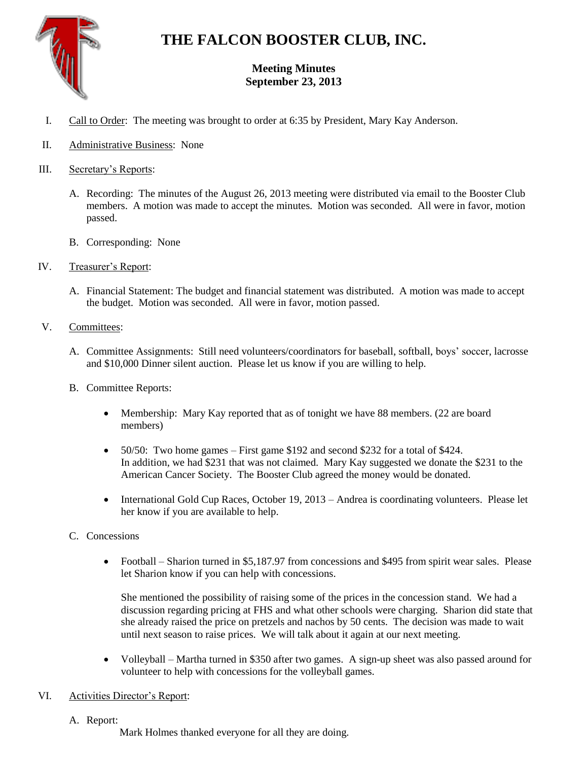

# **THE FALCON BOOSTER CLUB, INC.**

## **Meeting Minutes September 23, 2013**

- I. Call to Order: The meeting was brought to order at 6:35 by President, Mary Kay Anderson.
- II. Administrative Business: None
- III. Secretary's Reports:
	- A. Recording: The minutes of the August 26, 2013 meeting were distributed via email to the Booster Club members. A motion was made to accept the minutes. Motion was seconded. All were in favor, motion passed.
	- B. Corresponding: None
- IV. Treasurer's Report:
	- A. Financial Statement: The budget and financial statement was distributed. A motion was made to accept the budget. Motion was seconded. All were in favor, motion passed.
- V. Committees:
	- A. Committee Assignments: Still need volunteers/coordinators for baseball, softball, boys' soccer, lacrosse and \$10,000 Dinner silent auction. Please let us know if you are willing to help.
	- B. Committee Reports:
		- Membership: Mary Kay reported that as of tonight we have 88 members. (22 are board members)
		- $\bullet$  50/50: Two home games First game \$192 and second \$232 for a total of \$424. In addition, we had \$231 that was not claimed. Mary Kay suggested we donate the \$231 to the American Cancer Society. The Booster Club agreed the money would be donated.
		- International Gold Cup Races, October 19, 2013 Andrea is coordinating volunteers. Please let her know if you are available to help.
	- C. Concessions
		- Football Sharion turned in \$5,187.97 from concessions and \$495 from spirit wear sales. Please let Sharion know if you can help with concessions.

She mentioned the possibility of raising some of the prices in the concession stand. We had a discussion regarding pricing at FHS and what other schools were charging. Sharion did state that she already raised the price on pretzels and nachos by 50 cents. The decision was made to wait until next season to raise prices. We will talk about it again at our next meeting.

 Volleyball – Martha turned in \$350 after two games. A sign-up sheet was also passed around for volunteer to help with concessions for the volleyball games.

### VI. Activities Director's Report:

A. Report:

Mark Holmes thanked everyone for all they are doing.